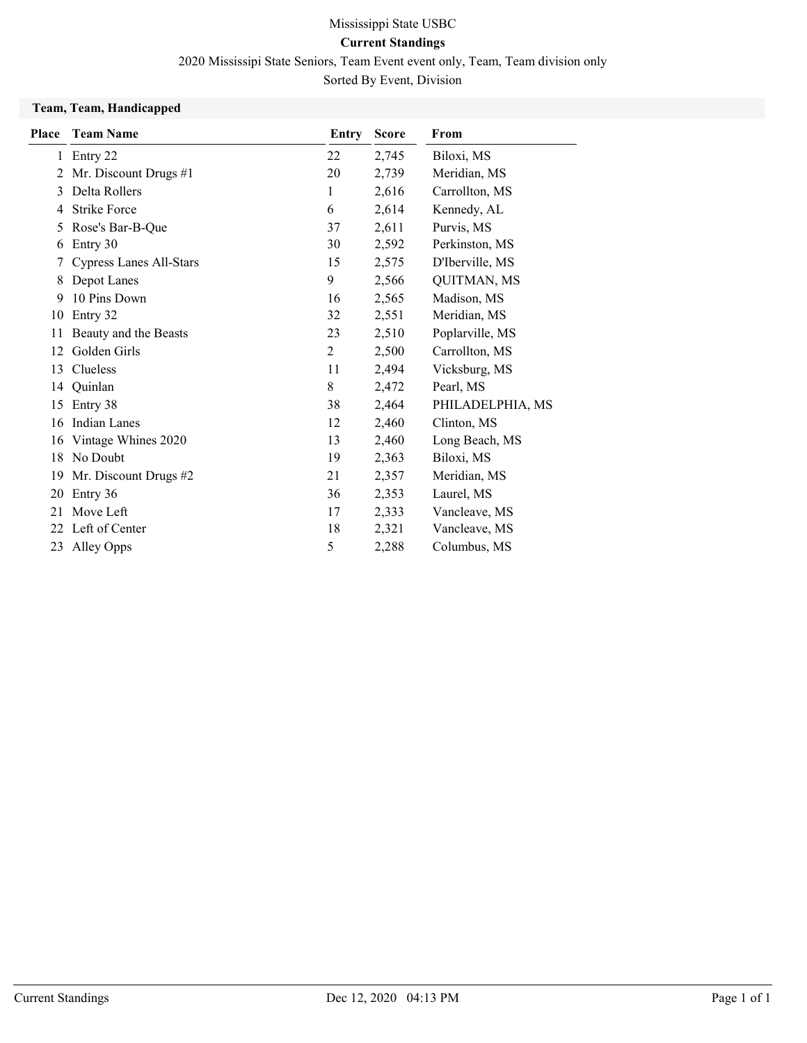### Current Standings

2020 Mississipi State Seniors, Team Event event only, Team, Team division only

Sorted By Event, Division

#### Team, Team, Handicapped

| Place        | <b>Team Name</b>               | Entry | <b>Score</b> | From               |
|--------------|--------------------------------|-------|--------------|--------------------|
| $\mathbf{1}$ | Entry 22                       | 22    | 2,745        | Biloxi, MS         |
| 2            | Mr. Discount Drugs #1          | 20    | 2,739        | Meridian, MS       |
| 3            | Delta Rollers                  | 1     | 2,616        | Carrollton, MS     |
| 4            | <b>Strike Force</b>            | 6     | 2,614        | Kennedy, AL        |
| 5            | Rose's Bar-B-Que               | 37    | 2,611        | Purvis, MS         |
| 6            | Entry 30                       | 30    | 2,592        | Perkinston, MS     |
|              | <b>Cypress Lanes All-Stars</b> | 15    | 2,575        | D'Iberville, MS    |
| 8            | Depot Lanes                    | 9     | 2,566        | <b>QUITMAN, MS</b> |
| 9            | 10 Pins Down                   | 16    | 2,565        | Madison, MS        |
| 10           | Entry 32                       | 32    | 2,551        | Meridian, MS       |
| 11           | Beauty and the Beasts          | 23    | 2,510        | Poplarville, MS    |
| 12           | Golden Girls                   | 2     | 2,500        | Carrollton, MS     |
| 13           | Clueless                       | 11    | 2,494        | Vicksburg, MS      |
| 14           | Quinlan                        | 8     | 2,472        | Pearl, MS          |
| 15           | Entry 38                       | 38    | 2,464        | PHILADELPHIA, MS   |
| 16           | Indian Lanes                   | 12    | 2,460        | Clinton, MS        |
| 16           | Vintage Whines 2020            | 13    | 2,460        | Long Beach, MS     |
| 18           | No Doubt                       | 19    | 2,363        | Biloxi, MS         |
| 19           | Mr. Discount Drugs #2          | 21    | 2,357        | Meridian, MS       |
| 20           | Entry 36                       | 36    | 2,353        | Laurel, MS         |
| 21           | Move Left                      | 17    | 2,333        | Vancleave, MS      |
| 22           | Left of Center                 | 18    | 2,321        | Vancleave, MS      |
| 23           | Alley Opps                     | 5     | 2,288        | Columbus, MS       |
|              |                                |       |              |                    |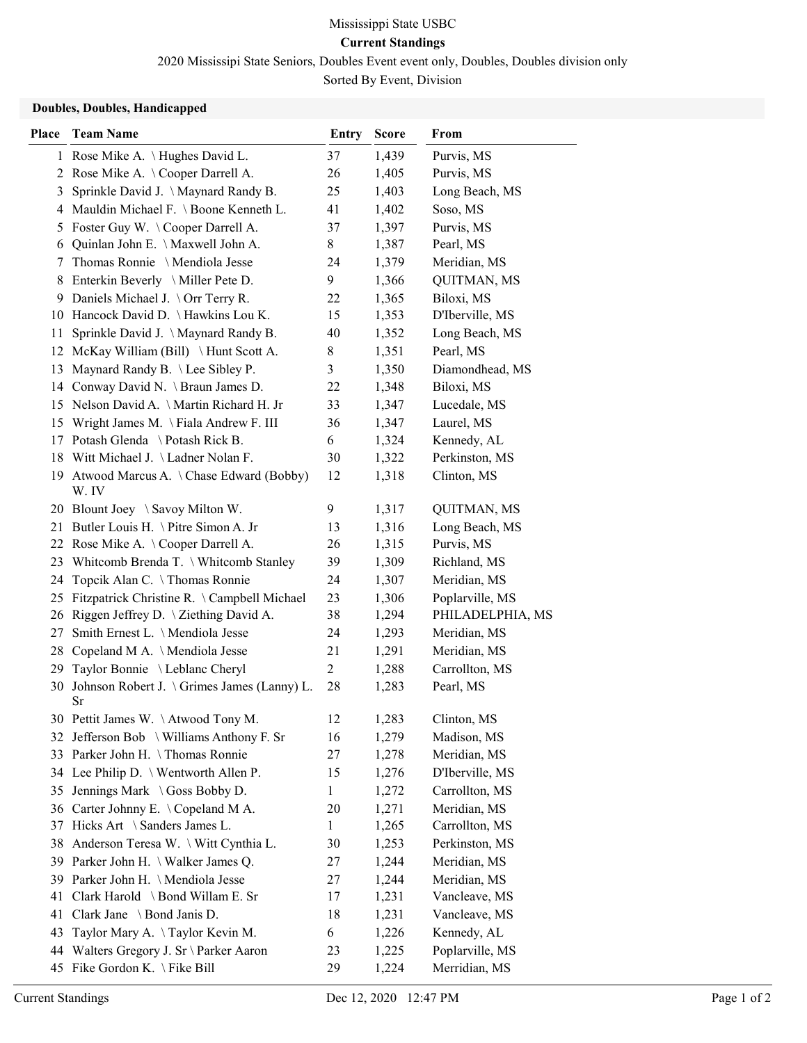### Current Standings

2020 Mississipi State Seniors, Doubles Event event only, Doubles, Doubles division only

Sorted By Event, Division

#### Doubles, Doubles, Handicapped

| Place | <b>Team Name</b>                                   | Entry          | <b>Score</b> | From               |
|-------|----------------------------------------------------|----------------|--------------|--------------------|
|       | 1 Rose Mike A. \ Hughes David L.                   | 37             | 1,439        | Purvis, MS         |
|       | 2 Rose Mike A. \Cooper Darrell A.                  | 26             | 1,405        | Purvis, MS         |
| 3     | Sprinkle David J. \ Maynard Randy B.               | 25             | 1,403        | Long Beach, MS     |
|       | 4 Mauldin Michael F. \ Boone Kenneth L.            | 41             | 1,402        | Soso, MS           |
|       | 5 Foster Guy W. \Cooper Darrell A.                 | 37             | 1,397        | Purvis, MS         |
| 6     | Quinlan John E. \ Maxwell John A.                  | $8\,$          | 1,387        | Pearl, MS          |
| 7     | Thomas Ronnie \ Mendiola Jesse                     | 24             | 1,379        | Meridian, MS       |
|       | 8 Enterkin Beverly \ Miller Pete D.                | 9              | 1,366        | QUITMAN, MS        |
| 9     | Daniels Michael J. \Orr Terry R.                   | 22             | 1,365        | Biloxi, MS         |
|       | 10 Hancock David D. \Hawkins Lou K.                | 15             | 1,353        | D'Iberville, MS    |
|       | 11 Sprinkle David J. \Maynard Randy B.             | 40             | 1,352        | Long Beach, MS     |
|       | 12 McKay William (Bill) \ Hunt Scott A.            | 8              | 1,351        | Pearl, MS          |
| 13    | Maynard Randy B. \Lee Sibley P.                    | 3              | 1,350        | Diamondhead, MS    |
|       | 14 Conway David N. \ Braun James D.                | 22             | 1,348        | Biloxi, MS         |
|       | 15 Nelson David A. \Martin Richard H. Jr           | 33             | 1,347        | Lucedale, MS       |
|       | 15 Wright James M. \Fiala Andrew F. III            | 36             | 1,347        | Laurel, MS         |
|       | 17 Potash Glenda \ Potash Rick B.                  | 6              | 1,324        | Kennedy, AL        |
|       | 18 Witt Michael J. \Ladner Nolan F.                | 30             | 1,322        | Perkinston, MS     |
|       | 19 Atwood Marcus A. \Chase Edward (Bobby)<br>W. IV | 12             | 1,318        | Clinton, MS        |
|       | 20 Blount Joey \ Savoy Milton W.                   | 9              | 1,317        | <b>QUITMAN, MS</b> |
|       | 21 Butler Louis H. \ Pitre Simon A. Jr             | 13             | 1,316        | Long Beach, MS     |
|       | 22 Rose Mike A. \Cooper Darrell A.                 | 26             | 1,315        | Purvis, MS         |
|       | 23 Whitcomb Brenda T. \ Whitcomb Stanley           | 39             | 1,309        | Richland, MS       |
| 24    | Topcik Alan C. \Thomas Ronnie                      | 24             | 1,307        | Meridian, MS       |
| 25    | Fitzpatrick Christine R. \Campbell Michael         | 23             | 1,306        | Poplarville, MS    |
|       | 26 Riggen Jeffrey D. \ Ziething David A.           | 38             | 1,294        | PHILADELPHIA, MS   |
| 27    | Smith Ernest L. \ Mendiola Jesse                   | 24             | 1,293        | Meridian, MS       |
| 28    | Copeland M A. \ Mendiola Jesse                     | 21             | 1,291        | Meridian, MS       |
| 29    | Taylor Bonnie \ Leblanc Cheryl                     | $\overline{2}$ | 1,288        | Carrollton, MS     |
| 30    | Johnson Robert J. \ Grimes James (Lanny) L.<br>Sr  | 28             | 1,283        | Pearl, MS          |
|       | 30 Pettit James W. \Atwood Tony M.                 | 12             | 1,283        | Clinton, MS        |
|       | 32 Jefferson Bob \ Williams Anthony F. Sr          | 16             | 1,279        | Madison, MS        |
|       | 33 Parker John H. \Thomas Ronnie                   | 27             | 1,278        | Meridian, MS       |
|       | 34 Lee Philip D. \ Wentworth Allen P.              | 15             | 1,276        | D'Iberville, MS    |
| 35    | Jennings Mark \ Goss Bobby D.                      | 1              | 1,272        | Carrollton, MS     |
|       | 36 Carter Johnny E. \Copeland M A.                 | 20             | 1,271        | Meridian, MS       |
| 37    | Hicks Art \ Sanders James L.                       | 1              | 1,265        | Carrollton, MS     |
| 38    | Anderson Teresa W. \ Witt Cynthia L.               | 30             | 1,253        | Perkinston, MS     |
|       | 39 Parker John H. \ Walker James Q.                | 27             | 1,244        | Meridian, MS       |
| 39.   | Parker John H. \ Mendiola Jesse                    | 27             | 1,244        | Meridian, MS       |
| 41    | Clark Harold \ Bond Willam E. Sr                   | 17             | 1,231        | Vancleave, MS      |
| 41    | Clark Jane \ Bond Janis D.                         | 18             | 1,231        | Vancleave, MS      |
| 43    | Taylor Mary A. \Taylor Kevin M.                    | 6              | 1,226        | Kennedy, AL        |
|       | 44 Walters Gregory J. Sr \ Parker Aaron            | 23             | 1,225        | Poplarville, MS    |
| 45    | Fike Gordon K. \Fike Bill                          | 29             | 1,224        | Merridian, MS      |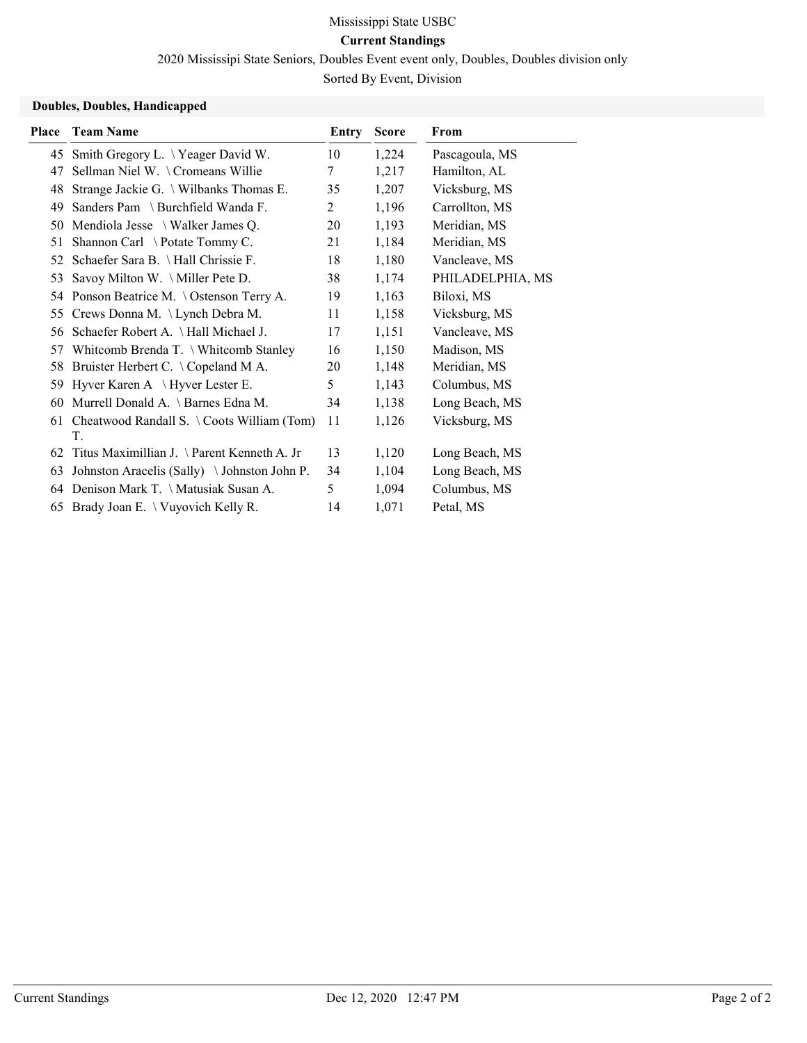# Current Standings

2020 Mississipi State Seniors, Doubles Event event only, Doubles, Doubles division only

Sorted By Event, Division

### Doubles, Doubles, Handicapped

| Place | <b>Team Name</b>                                           | Entry | <b>Score</b> | From             |
|-------|------------------------------------------------------------|-------|--------------|------------------|
|       | 45 Smith Gregory L. \Yeager David W.                       | 10    | 1,224        | Pascagoula, MS   |
| 47    | Sellman Niel W. \ Cromeans Willie                          | 7     | 1,217        | Hamilton, AL     |
| 48    | Strange Jackie G. \ Wilbanks Thomas E.                     | 35    | 1,207        | Vicksburg, MS    |
| 49    | Sanders Pam \ Burchfield Wanda F.                          | 2     | 1,196        | Carrollton, MS   |
| 50    | Mendiola Jesse \ Walker James Q.                           | 20    | 1,193        | Meridian, MS     |
| 51    | Shannon Carl \ Potate Tommy C.                             | 21    | 1,184        | Meridian, MS     |
| 52    | Schaefer Sara B. \ Hall Chrissie F.                        | 18    | 1,180        | Vancleave, MS    |
| 53    | Savoy Milton W. \ Miller Pete D.                           | 38    | 1,174        | PHILADELPHIA, MS |
|       | 54 Ponson Beatrice M. \Ostenson Terry A.                   | 19    | 1,163        | Biloxi, MS       |
| 55    | Crews Donna M. \ Lynch Debra M.                            | 11    | 1,158        | Vicksburg, MS    |
| 56    | Schaefer Robert A. \Hall Michael J.                        | 17    | 1,151        | Vancleave, MS    |
| 57    | Whitcomb Brenda T. \ Whitcomb Stanley                      | 16    | 1,150        | Madison, MS      |
| 58    | Bruister Herbert C. \ Copeland M A.                        | 20    | 1,148        | Meridian, MS     |
| 59    | Hyver Karen A $\mathcal{H}$ Hyver Lester E.                | 5     | 1,143        | Columbus, MS     |
| 60    | Murrell Donald A. \ Barnes Edna M.                         | 34    | 1,138        | Long Beach, MS   |
| 61    | Cheatwood Randall S. $\setminus$ Coots William (Tom)<br>T. | 11    | 1,126        | Vicksburg, MS    |
| 62    | Titus Maximillian J. \ Parent Kenneth A. Jr                | 13    | 1,120        | Long Beach, MS   |
| 63    | Johnston Aracelis (Sally) \Johnston John P.                | 34    | 1,104        | Long Beach, MS   |
| 64    | Denison Mark T. \Matusiak Susan A.                         | 5     | 1,094        | Columbus, MS     |
| 65    | Brady Joan E. \ Vuyovich Kelly R.                          | 14    | 1,071        | Petal, MS        |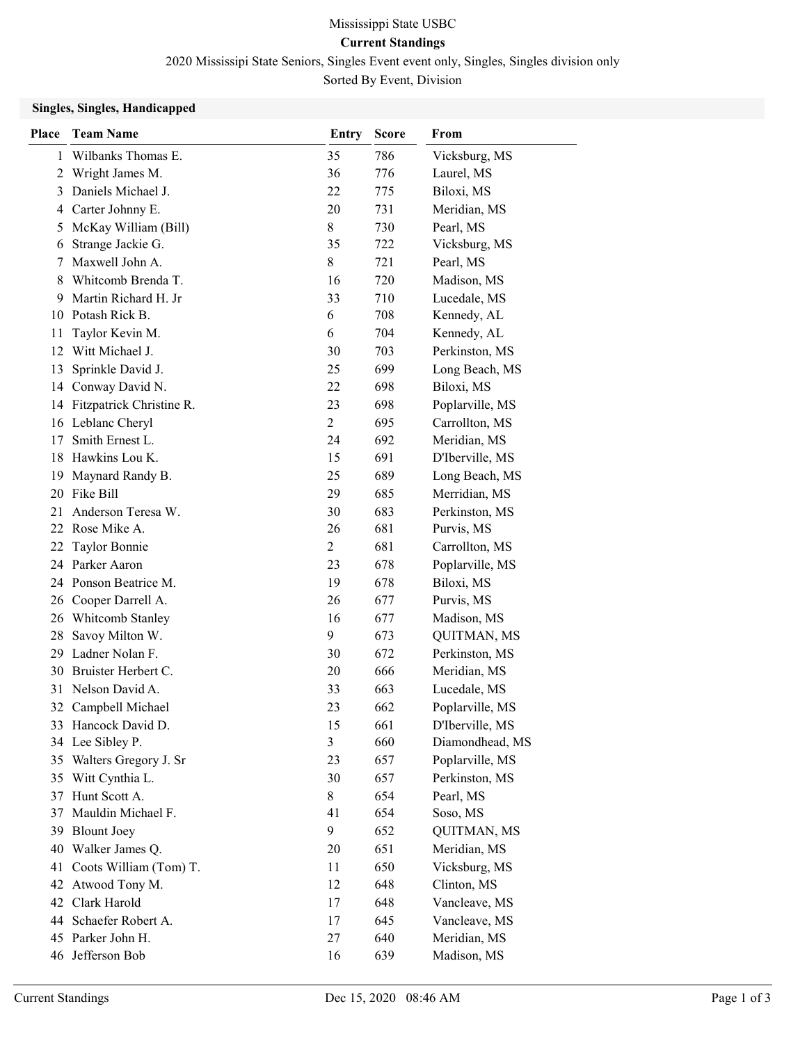### Current Standings

2020 Mississipi State Seniors, Singles Event event only, Singles, Singles division only

Sorted By Event, Division

#### Singles, Singles, Handicapped

| <b>Place</b> | <b>Team Name</b>            | <b>Entry</b>   | <b>Score</b> | From               |
|--------------|-----------------------------|----------------|--------------|--------------------|
| 1            | Wilbanks Thomas E.          | 35             | 786          | Vicksburg, MS      |
| 2            | Wright James M.             | 36             | 776          | Laurel, MS         |
| 3            | Daniels Michael J.          | 22             | 775          | Biloxi, MS         |
| 4            | Carter Johnny E.            | 20             | 731          | Meridian, MS       |
| 5            | McKay William (Bill)        | 8              | 730          | Pearl, MS          |
| 6            | Strange Jackie G.           | 35             | 722          | Vicksburg, MS      |
| 7            | Maxwell John A.             | 8              | 721          | Pearl, MS          |
| 8            | Whitcomb Brenda T.          | 16             | 720          | Madison, MS        |
| 9            | Martin Richard H. Jr        | 33             | 710          | Lucedale, MS       |
| 10           | Potash Rick B.              | 6              | 708          | Kennedy, AL        |
| 11           | Taylor Kevin M.             | 6              | 704          | Kennedy, AL        |
| 12           | Witt Michael J.             | 30             | 703          | Perkinston, MS     |
| 13           | Sprinkle David J.           | 25             | 699          | Long Beach, MS     |
| 14           | Conway David N.             | 22             | 698          | Biloxi, MS         |
|              | 14 Fitzpatrick Christine R. | 23             | 698          | Poplarville, MS    |
|              | 16 Leblanc Cheryl           | $\overline{2}$ | 695          | Carrollton, MS     |
| 17           | Smith Ernest L.             | 24             | 692          | Meridian, MS       |
|              | 18 Hawkins Lou K.           | 15             | 691          | D'Iberville, MS    |
| 19           | Maynard Randy B.            | 25             | 689          | Long Beach, MS     |
| 20           | Fike Bill                   | 29             | 685          | Merridian, MS      |
| 21           | Anderson Teresa W.          | 30             | 683          | Perkinston, MS     |
|              | 22 Rose Mike A.             | 26             | 681          | Purvis, MS         |
| 22           | Taylor Bonnie               | $\overline{c}$ | 681          | Carrollton, MS     |
|              | 24 Parker Aaron             | 23             | 678          | Poplarville, MS    |
|              | 24 Ponson Beatrice M.       | 19             | 678          | Biloxi, MS         |
| 26           | Cooper Darrell A.           | 26             | 677          | Purvis, MS         |
| 26           | Whitcomb Stanley            | 16             | 677          | Madison, MS        |
| 28           | Savoy Milton W.             | 9              | 673          | QUITMAN, MS        |
| 29           | Ladner Nolan F.             | 30             | 672          | Perkinston, MS     |
| 30           | Bruister Herbert C.         | 20             | 666          | Meridian, MS       |
|              | 31 Nelson David A.          | 33             | 663          | Lucedale, MS       |
|              | 32 Campbell Michael         | 23             | 662          | Poplarville, MS    |
|              | 33 Hancock David D.         | 15             | 661          | D'Iberville, MS    |
|              | 34 Lee Sibley P.            | $\mathfrak{Z}$ | 660          | Diamondhead, MS    |
|              | 35 Walters Gregory J. Sr    | 23             | 657          | Poplarville, MS    |
| 35           | Witt Cynthia L.             | 30             | 657          | Perkinston, MS     |
| 37           | Hunt Scott A.               | 8              | 654          | Pearl, MS          |
| 37           | Mauldin Michael F.          | 41             | 654          | Soso, MS           |
|              | 39 Blount Joey              | 9              | 652          | <b>QUITMAN, MS</b> |
| 40           | Walker James Q.             | 20             | 651          | Meridian, MS       |
|              | 41 Coots William (Tom) T.   | 11             | 650          | Vicksburg, MS      |
|              | 42 Atwood Tony M.           | 12             | 648          | Clinton, MS        |
|              | 42 Clark Harold             | 17             | 648          | Vancleave, MS      |
|              | 44 Schaefer Robert A.       | 17             | 645          | Vancleave, MS      |
|              | 45 Parker John H.           | 27             | 640          | Meridian, MS       |
|              | 46 Jefferson Bob            | 16             | 639          | Madison, MS        |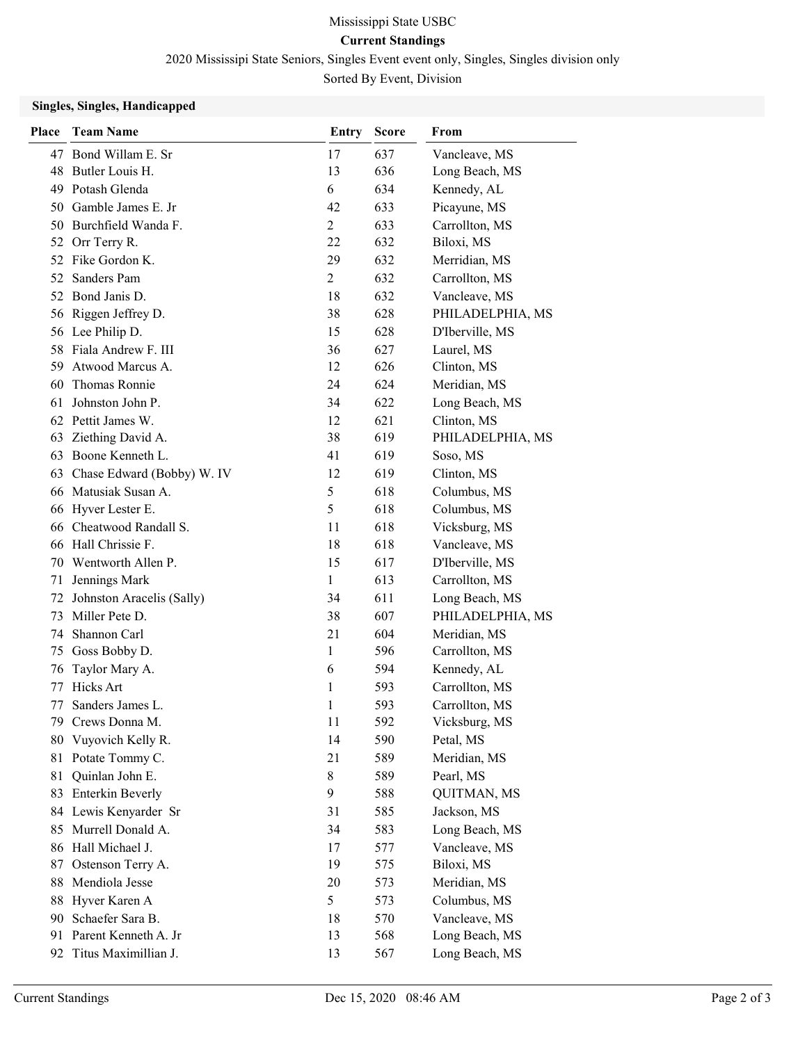Current Standings

2020 Mississipi State Seniors, Singles Event event only, Singles, Singles division only

Sorted By Event, Division

### Singles, Singles, Handicapped

| Place | <b>Team Name</b>           | <b>Entry</b> | <b>Score</b> | From             |
|-------|----------------------------|--------------|--------------|------------------|
|       | 47 Bond Willam E. Sr       | 17           | 637          | Vancleave, MS    |
|       | 48 Butler Louis H.         | 13           | 636          | Long Beach, MS   |
| 49    | Potash Glenda              | 6            | 634          | Kennedy, AL      |
| 50    | Gamble James E. Jr         | 42           | 633          | Picayune, MS     |
|       | 50 Burchfield Wanda F.     | 2            | 633          | Carrollton, MS   |
| 52    | Orr Terry R.               | 22           | 632          | Biloxi, MS       |
| 52    | Fike Gordon K.             | 29           | 632          | Merridian, MS    |
| 52    | Sanders Pam                | 2            | 632          | Carrollton, MS   |
| 52    | Bond Janis D.              | 18           | 632          | Vancleave, MS    |
| 56    | Riggen Jeffrey D.          | 38           | 628          | PHILADELPHIA, MS |
|       | 56 Lee Philip D.           | 15           | 628          | D'Iberville, MS  |
|       | 58 Fiala Andrew F. III     | 36           | 627          | Laurel, MS       |
| 59    | Atwood Marcus A.           | 12           | 626          | Clinton, MS      |
| 60    | Thomas Ronnie              | 24           | 624          | Meridian, MS     |
| 61    | Johnston John P.           | 34           | 622          | Long Beach, MS   |
|       | 62 Pettit James W.         | 12           | 621          | Clinton, MS      |
| 63    | Ziething David A.          | 38           | 619          | PHILADELPHIA, MS |
|       | 63 Boone Kenneth L.        | 41           | 619          | Soso, MS         |
| 63    | Chase Edward (Bobby) W. IV | 12           | 619          | Clinton, MS      |
|       | 66 Matusiak Susan A.       | 5            | 618          | Columbus, MS     |
| 66    | Hyver Lester E.            | 5            | 618          | Columbus, MS     |
| 66    | Cheatwood Randall S.       | 11           | 618          | Vicksburg, MS    |
| 66    | Hall Chrissie F.           | 18           | 618          | Vancleave, MS    |
| 70    | Wentworth Allen P.         | 15           | 617          | D'Iberville, MS  |
| 71    | Jennings Mark              | 1            | 613          | Carrollton, MS   |
| 72    | Johnston Aracelis (Sally)  | 34           | 611          | Long Beach, MS   |
| 73    | Miller Pete D.             | 38           | 607          | PHILADELPHIA, MS |
| 74    | Shannon Carl               | 21           | 604          | Meridian, MS     |
| 75    | Goss Bobby D.              | 1            | 596          | Carrollton, MS   |
| 76    | Taylor Mary A.             | 6            | 594          | Kennedy, AL      |
| 77    | Hicks Art                  | 1            | 593          | Carrollton, MS   |
| 77    | Sanders James L.           | 1            | 593          | Carrollton, MS   |
|       | 79 Crews Donna M.          | 11           | 592          | Vicksburg, MS    |
| 80    | Vuyovich Kelly R.          | 14           | 590          | Petal, MS        |
| 81    | Potate Tommy C.            | 21           | 589          | Meridian, MS     |
| 81    | Quinlan John E.            | 8            | 589          | Pearl, MS        |
| 83    | <b>Enterkin Beverly</b>    | 9            | 588          | QUITMAN, MS      |
|       | 84 Lewis Kenyarder Sr      | 31           | 585          | Jackson, MS      |
| 85    | Murrell Donald A.          | 34           | 583          | Long Beach, MS   |
| 86    | Hall Michael J.            | 17           | 577          | Vancleave, MS    |
| 87    | Ostenson Terry A.          | 19           | 575          | Biloxi, MS       |
| 88    | Mendiola Jesse             | 20           | 573          | Meridian, MS     |
| 88    | Hyver Karen A              | 5            | 573          | Columbus, MS     |
| 90    | Schaefer Sara B.           | 18           | 570          | Vancleave, MS    |
| 91    | Parent Kenneth A. Jr       | 13           | 568          | Long Beach, MS   |
| 92    | Titus Maximillian J.       | 13           | 567          | Long Beach, MS   |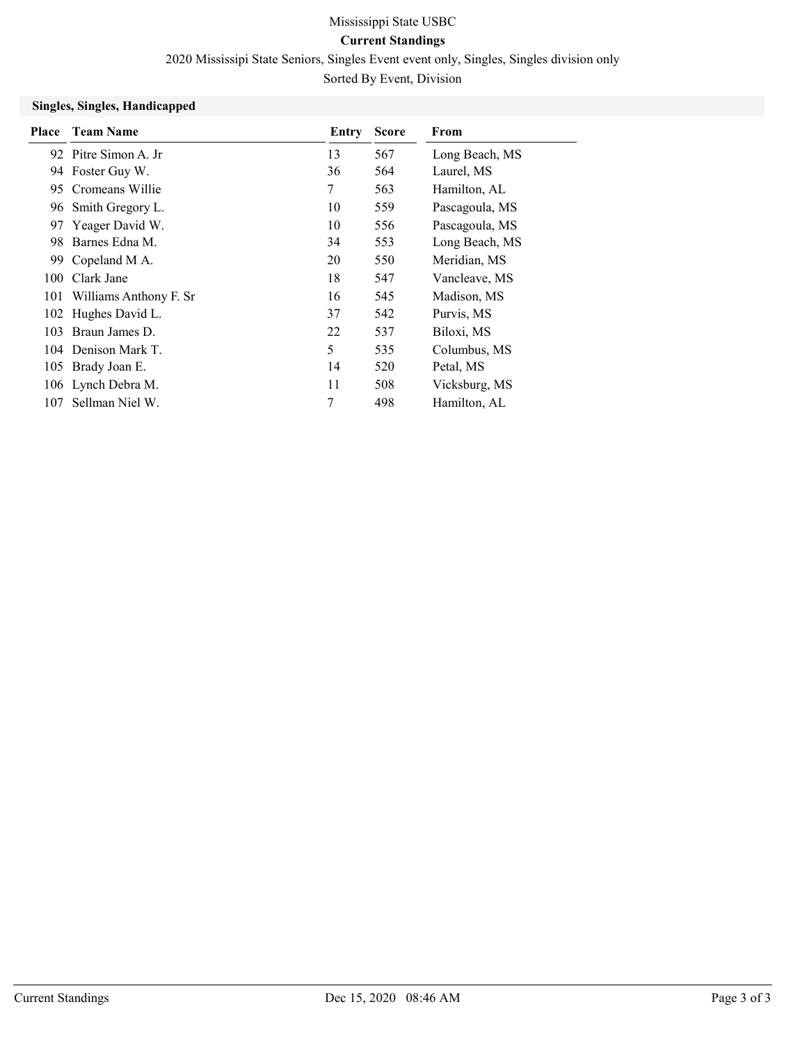Current Standings

2020 Mississipi State Seniors, Singles Event event only, Singles, Singles division only

Sorted By Event, Division

### Singles, Singles, Handicapped

| Place | <b>Team Name</b>           | Entry | <b>Score</b> | From           |
|-------|----------------------------|-------|--------------|----------------|
|       | 92 Pitre Simon A. Jr       | 13    | 567          | Long Beach, MS |
|       | 94 Foster Guy W.           | 36    | 564          | Laurel, MS     |
| 95    | Cromeans Willie            | 7     | 563          | Hamilton, AL   |
|       | 96 Smith Gregory L.        | 10    | 559          | Pascagoula, MS |
|       | 97 Yeager David W.         | 10    | 556          | Pascagoula, MS |
| 98    | Barnes Edna M.             | 34    | 553          | Long Beach, MS |
|       | 99 Copeland M A.           | 20    | 550          | Meridian, MS   |
| 100-  | Clark Jane                 | 18    | 547          | Vancleave, MS  |
|       | 101 Williams Anthony F. Sr | 16    | 545          | Madison, MS    |
|       | 102 Hughes David L.        | 37    | 542          | Purvis, MS     |
| 103   | Braun James D.             | 22    | 537          | Biloxi, MS     |
|       | 104 Denison Mark T.        | 5     | 535          | Columbus, MS   |
|       | 105 Brady Joan E.          | 14    | 520          | Petal, MS      |
|       | 106 Lynch Debra M.         | 11    | 508          | Vicksburg, MS  |
| 107   | Sellman Niel W.            | 7     | 498          | Hamilton, AL   |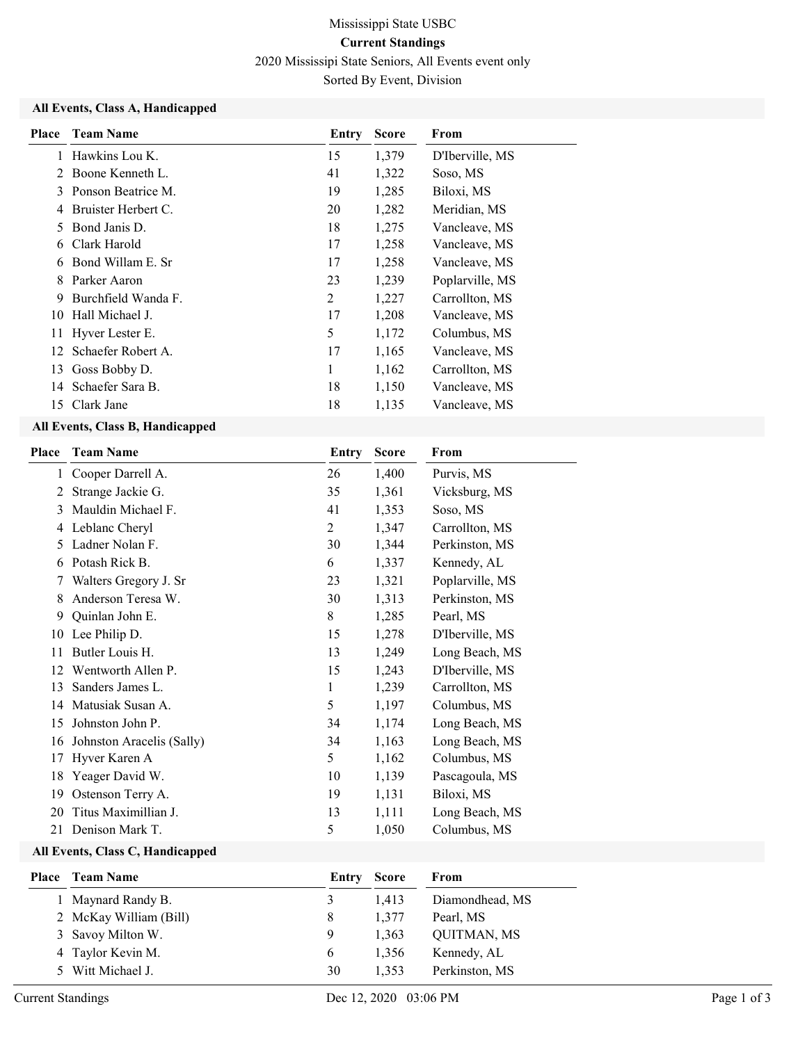# Mississippi State USBC Current Standings 2020 Mississipi State Seniors, All Events event only Sorted By Event, Division

#### All Events, Class A, Handicapped

| <b>Place</b>   | <b>Team Name</b>    | Entry | <b>Score</b> | From            |
|----------------|---------------------|-------|--------------|-----------------|
| 1              | Hawkins Lou K.      | 15    | 1,379        | D'Iberville, MS |
| $\mathfrak{D}$ | Boone Kenneth L.    | 41    | 1,322        | Soso, MS        |
| 3              | Ponson Beatrice M.  | 19    | 1,285        | Biloxi, MS      |
| 4              | Bruister Herbert C. | 20    | 1,282        | Meridian, MS    |
| 5              | Bond Janis D.       | 18    | 1,275        | Vancleave, MS   |
| 6              | Clark Harold        | 17    | 1,258        | Vancleave, MS   |
| 6              | Bond Willam E. Sr   | 17    | 1,258        | Vancleave, MS   |
| 8              | Parker Aaron        | 23    | 1,239        | Poplarville, MS |
| 9              | Burchfield Wanda F. | 2     | 1,227        | Carrollton, MS  |
| 10             | Hall Michael J.     | 17    | 1,208        | Vancleave, MS   |
| 11             | Hyver Lester E.     | 5     | 1,172        | Columbus, MS    |
| 12.            | Schaefer Robert A.  | 17    | 1,165        | Vancleave, MS   |
| 13             | Goss Bobby D.       | 1     | 1,162        | Carrollton, MS  |
|                | 14 Schaefer Sara B. | 18    | 1,150        | Vancleave, MS   |
| 15             | Clark Jane          | 18    | 1,135        | Vancleave, MS   |

### All Events, Class B, Handicapped

| Place | <b>Team Name</b>          | Entry          | <b>Score</b> | From            |
|-------|---------------------------|----------------|--------------|-----------------|
| 1     | Cooper Darrell A.         | 26             | 1,400        | Purvis, MS      |
| 2     | Strange Jackie G.         | 35             | 1,361        | Vicksburg, MS   |
| 3     | Mauldin Michael F.        | 41             | 1,353        | Soso, MS        |
| 4     | Leblanc Cheryl            | $\overline{2}$ | 1,347        | Carrollton, MS  |
| 5     | Ladner Nolan F.           | 30             | 1,344        | Perkinston, MS  |
| 6     | Potash Rick B.            | 6              | 1,337        | Kennedy, AL     |
| 7     | Walters Gregory J. Sr     | 23             | 1,321        | Poplarville, MS |
| 8     | Anderson Teresa W.        | 30             | 1,313        | Perkinston, MS  |
| 9     | Quinlan John E.           | 8              | 1,285        | Pearl, MS       |
|       | 10 Lee Philip D.          | 15             | 1,278        | D'Iberville, MS |
| 11    | Butler Louis H.           | 13             | 1,249        | Long Beach, MS  |
| 12    | Wentworth Allen P.        | 15             | 1,243        | D'Iberville, MS |
| 13    | Sanders James L.          | 1              | 1,239        | Carrollton, MS  |
| 14    | Matusiak Susan A.         | 5              | 1,197        | Columbus, MS    |
| 15    | Johnston John P.          | 34             | 1,174        | Long Beach, MS  |
| 16    | Johnston Aracelis (Sally) | 34             | 1,163        | Long Beach, MS  |
| 17    | Hyver Karen A             | 5              | 1,162        | Columbus, MS    |
| 18    | Yeager David W.           | 10             | 1,139        | Pascagoula, MS  |
| 19    | Ostenson Terry A.         | 19             | 1,131        | Biloxi, MS      |
| 20    | Titus Maximillian J.      | 13             | 1,111        | Long Beach, MS  |
| 21    | Denison Mark T.           | 5              | 1,050        | Columbus, MS    |

### All Events, Class C, Handicapped

| <b>Place</b> Team Name | Entry | Score | From               |
|------------------------|-------|-------|--------------------|
| 1 Maynard Randy B.     | 3     | 1.413 | Diamondhead, MS    |
| 2 McKay William (Bill) | 8     | 1.377 | Pearl, MS          |
| 3 Savoy Milton W.      | 9     | 1.363 | <b>OUITMAN, MS</b> |
| 4 Taylor Kevin M.      | 6     | 1.356 | Kennedy, AL        |
| 5 Witt Michael J.      | 30    | 1.353 | Perkinston, MS     |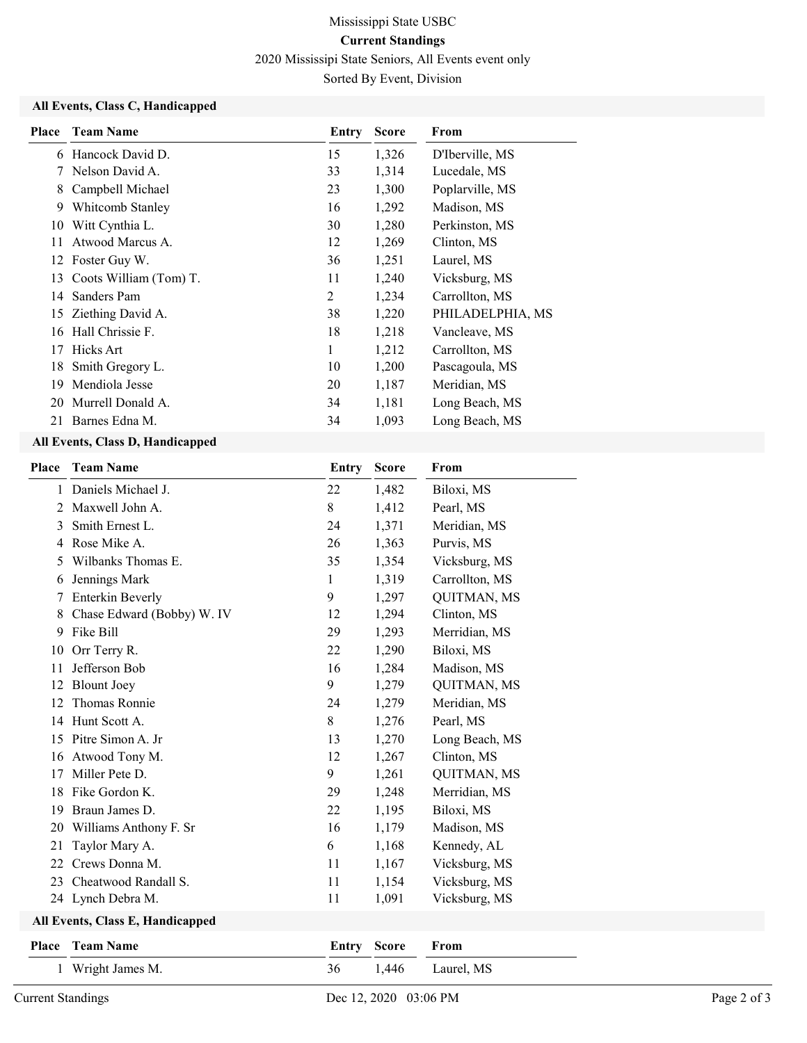### Current Standings

2020 Mississipi State Seniors, All Events event only

Sorted By Event, Division

### All Events, Class C, Handicapped

| Place | <b>Team Name</b>       | Entry | <b>Score</b> | From             |
|-------|------------------------|-------|--------------|------------------|
| 6     | Hancock David D.       | 15    | 1,326        | D'Iberville, MS  |
|       | Nelson David A.        | 33    | 1,314        | Lucedale, MS     |
| 8     | Campbell Michael       | 23    | 1,300        | Poplarville, MS  |
| 9     | Whitcomb Stanley       | 16    | 1,292        | Madison, MS      |
| 10    | Witt Cynthia L.        | 30    | 1,280        | Perkinston, MS   |
| 11    | Atwood Marcus A.       | 12    | 1,269        | Clinton, MS      |
| 12    | Foster Guy W.          | 36    | 1,251        | Laurel, MS       |
| 13    | Coots William (Tom) T. | 11    | 1,240        | Vicksburg, MS    |
| 14    | Sanders Pam            | 2     | 1,234        | Carrollton, MS   |
| 15    | Ziething David A.      | 38    | 1,220        | PHILADELPHIA, MS |
| 16    | Hall Chrissie F.       | 18    | 1,218        | Vancleave, MS    |
| 17    | Hicks Art              | 1     | 1,212        | Carrollton, MS   |
| 18    | Smith Gregory L.       | 10    | 1,200        | Pascagoula, MS   |
| 19    | Mendiola Jesse         | 20    | 1,187        | Meridian, MS     |
| 20    | Murrell Donald A.      | 34    | 1,181        | Long Beach, MS   |
| 21    | Barnes Edna M.         | 34    | 1,093        | Long Beach, MS   |

### All Events, Class D, Handicapped

| Place | <b>Team Name</b>                 | <b>Entry</b> | <b>Score</b> | From               |
|-------|----------------------------------|--------------|--------------|--------------------|
|       | Daniels Michael J.               | 22           | 1,482        | Biloxi, MS         |
| 2     | Maxwell John A.                  | 8            | 1,412        | Pearl, MS          |
| 3     | Smith Ernest L.                  | 24           | 1,371        | Meridian, MS       |
| 4     | Rose Mike A.                     | 26           | 1,363        | Purvis, MS         |
| 5     | Wilbanks Thomas E.               | 35           | 1,354        | Vicksburg, MS      |
| 6     | Jennings Mark                    | 1            | 1,319        | Carrollton, MS     |
| 7     | <b>Enterkin Beverly</b>          | 9            | 1,297        | QUITMAN, MS        |
| 8     | Chase Edward (Bobby) W. IV       | 12           | 1,294        | Clinton, MS        |
| 9     | Fike Bill                        | 29           | 1,293        | Merridian, MS      |
| 10    | Orr Terry R.                     | 22           | 1,290        | Biloxi, MS         |
| 11    | Jefferson Bob                    | 16           | 1,284        | Madison, MS        |
| 12    | <b>Blount Joey</b>               | 9            | 1,279        | QUITMAN, MS        |
| 12    | Thomas Ronnie                    | 24           | 1,279        | Meridian, MS       |
| 14    | Hunt Scott A.                    | 8            | 1,276        | Pearl, MS          |
| 15    | Pitre Simon A. Jr                | 13           | 1,270        | Long Beach, MS     |
| 16    | Atwood Tony M.                   | 12           | 1,267        | Clinton, MS        |
| 17    | Miller Pete D.                   | 9            | 1,261        | <b>QUITMAN, MS</b> |
| 18    | Fike Gordon K.                   | 29           | 1,248        | Merridian, MS      |
| 19    | Braun James D.                   | 22           | 1,195        | Biloxi, MS         |
| 20    | Williams Anthony F. Sr           | 16           | 1,179        | Madison, MS        |
| 21    | Taylor Mary A.                   | 6            | 1,168        | Kennedy, AL        |
| 22    | Crews Donna M.                   | 11           | 1,167        | Vicksburg, MS      |
| 23    | Cheatwood Randall S.             | 11           | 1,154        | Vicksburg, MS      |
|       | 24 Lynch Debra M.                | 11           | 1,091        | Vicksburg, MS      |
|       | All Events, Class E, Handicapped |              |              |                    |
| Place | <b>Team Name</b>                 | Entry        | <b>Score</b> | From               |
|       | 1 Wright James M.                | 36           | 1,446        | Laurel, MS         |